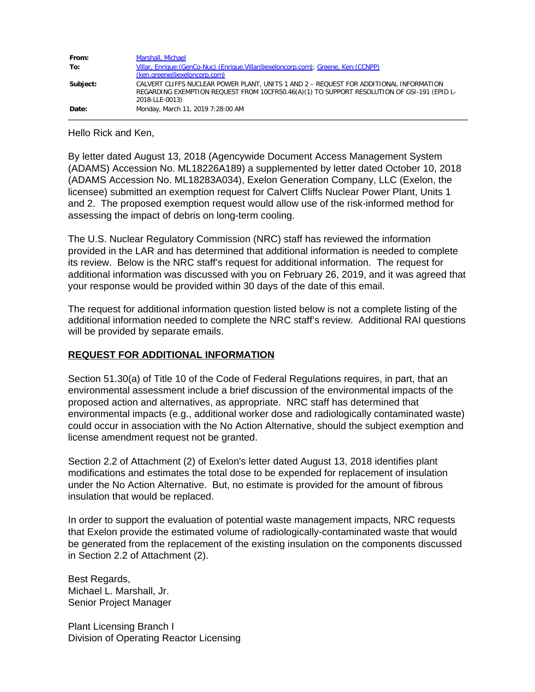| From:    | Marshall, Michael                                                                                                                                                                                       |
|----------|---------------------------------------------------------------------------------------------------------------------------------------------------------------------------------------------------------|
| To:      | Villar, Enrique: (GenCo-Nuc) (Enrique. Villar@exeloncorp.com); Greene, Ken: (CCNPP)                                                                                                                     |
|          | (ken.greene@exeloncorp.com)                                                                                                                                                                             |
| Subject: | CALVERT CLIFFS NUCLEAR POWER PLANT, UNITS 1 AND 2 - REQUEST FOR ADDITIONAL INFORMATION<br>REGARDING EXEMPTION REQUEST FROM 10CFR50.46(A)(1) TO SUPPORT RESOLUTION OF GSI-191 (EPID L-<br>2018-LLE-0013) |
| Date:    | Monday, March 11, 2019 7:28:00 AM                                                                                                                                                                       |

Hello Rick and Ken,

By letter dated August 13, 2018 (Agencywide Document Access Management System (ADAMS) Accession No. ML18226A189) a supplemented by letter dated October 10, 2018 (ADAMS Accession No. ML18283A034), Exelon Generation Company, LLC (Exelon, the licensee) submitted an exemption request for Calvert Cliffs Nuclear Power Plant, Units 1 and 2. The proposed exemption request would allow use of the risk-informed method for assessing the impact of debris on long-term cooling.

The U.S. Nuclear Regulatory Commission (NRC) staff has reviewed the information provided in the LAR and has determined that additional information is needed to complete its review. Below is the NRC staff's request for additional information. The request for additional information was discussed with you on February 26, 2019, and it was agreed that your response would be provided within 30 days of the date of this email.

The request for additional information question listed below is not a complete listing of the additional information needed to complete the NRC staff's review. Additional RAI questions will be provided by separate emails.

## **REQUEST FOR ADDITIONAL INFORMATION**

Section 51.30(a) of Title 10 of the Code of Federal Regulations requires, in part, that an environmental assessment include a brief discussion of the environmental impacts of the proposed action and alternatives, as appropriate. NRC staff has determined that environmental impacts (e.g., additional worker dose and radiologically contaminated waste) could occur in association with the No Action Alternative, should the subject exemption and license amendment request not be granted.

Section 2.2 of Attachment (2) of Exelon's letter dated August 13, 2018 identifies plant modifications and estimates the total dose to be expended for replacement of insulation under the No Action Alternative. But, no estimate is provided for the amount of fibrous insulation that would be replaced.

In order to support the evaluation of potential waste management impacts, NRC requests that Exelon provide the estimated volume of radiologically-contaminated waste that would be generated from the replacement of the existing insulation on the components discussed in Section 2.2 of Attachment (2).

Best Regards, Michael L. Marshall, Jr. Senior Project Manager

Plant Licensing Branch I Division of Operating Reactor Licensing